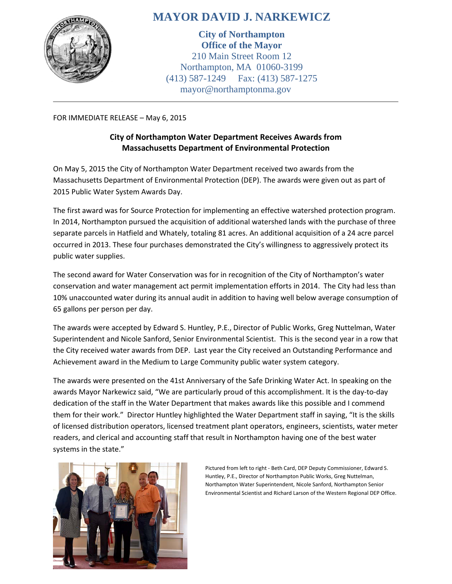

## **MAYOR DAVID J. NARKEWICZ**

**City of Northampton Office of the Mayor** 210 Main Street Room 12 Northampton, MA 01060-3199 (413) 587-1249 Fax: (413) 587-1275 mayor@northamptonma.gov

FOR IMMEDIATE RELEASE – May 6, 2015

## **City of Northampton Water Department Receives Awards from Massachusetts Department of Environmental Protection**

On May 5, 2015 the City of Northampton Water Department received two awards from the Massachusetts Department of Environmental Protection (DEP). The awards were given out as part of 2015 Public Water System Awards Day.

The first award was for Source Protection for implementing an effective watershed protection program. In 2014, Northampton pursued the acquisition of additional watershed lands with the purchase of three separate parcels in Hatfield and Whately, totaling 81 acres. An additional acquisition of a 24 acre parcel occurred in 2013. These four purchases demonstrated the City's willingness to aggressively protect its public water supplies.

The second award for Water Conservation was for in recognition of the City of Northampton's water conservation and water management act permit implementation efforts in 2014. The City had less than 10% unaccounted water during its annual audit in addition to having well below average consumption of 65 gallons per person per day.

The awards were accepted by Edward S. Huntley, P.E., Director of Public Works, Greg Nuttelman, Water Superintendent and Nicole Sanford, Senior Environmental Scientist. This is the second year in a row that the City received water awards from DEP. Last year the City received an Outstanding Performance and Achievement award in the Medium to Large Community public water system category.

The awards were presented on the 41st Anniversary of the Safe Drinking Water Act. In speaking on the awards Mayor Narkewicz said, "We are particularly proud of this accomplishment. It is the day-to-day dedication of the staff in the Water Department that makes awards like this possible and I commend them for their work." Director Huntley highlighted the Water Department staff in saying, "It is the skills of licensed distribution operators, licensed treatment plant operators, engineers, scientists, water meter readers, and clerical and accounting staff that result in Northampton having one of the best water systems in the state."



Pictured from left to right - Beth Card, DEP Deputy Commissioner, Edward S. Huntley, P.E., Director of Northampton Public Works, Greg Nuttelman, Northampton Water Superintendent, Nicole Sanford, Northampton Senior Environmental Scientist and Richard Larson of the Western Regional DEP Office.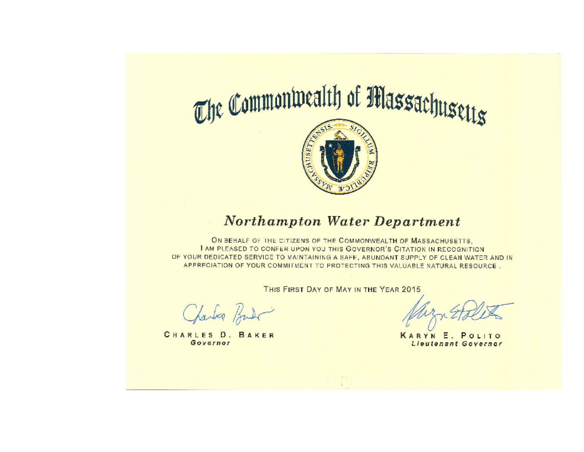

## Northampton Water Department

ON BEHALF OF THE CITIZENS OF THE COMMONWEALTH OF MASSACHUSETTS. I AM PLEASED TO CONFER UPON YOU THIS GOVERNOR'S CITATION IN RECOGNITION OF YOUR DEDICATED SERVICE TO MAINTAINING A SAFE, ABUNDANT SUPPLY OF CLEAN WATER AND IN APPRECIATION OF YOUR COMMITMENT TO PROTECTING THIS VALUABLE NATURAL RESOURCE.

THIS FIRST DAY OF MAY IN THE YEAR 2015

Charles Bard

CHARLES D. BAKER Governor

KARYN E. POLITO Lieutenant Governor